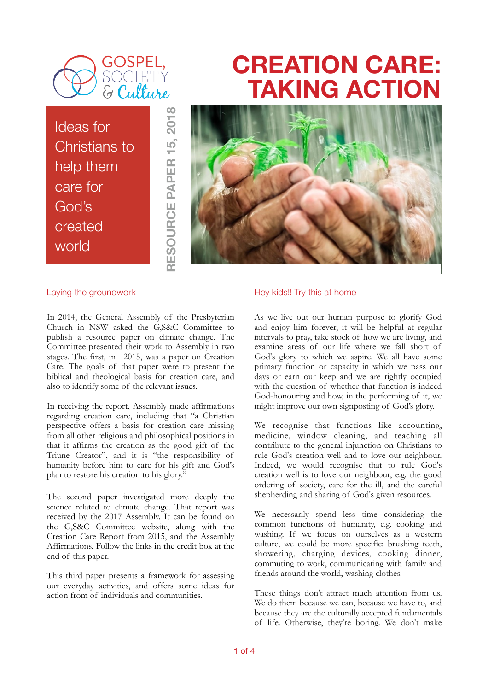

Ideas for Christians to help them care for God's created world

# **CREATION CARE: TAKING ACTION**



#### Laying the groundwork

In 2014, the General Assembly of the Presbyterian Church in NSW asked the G,S&C Committee to publish a resource paper on climate change. The Committee presented their work to Assembly in two stages. The first, in 2015, was a paper on Creation Care. The goals of that paper were to present the biblical and theological basis for creation care, and also to identify some of the relevant issues.

**RESOURCE PAPER 15, 2018**

RESOURCE PAPER 15, 2018

In receiving the report, Assembly made affirmations regarding creation care, including that "a Christian perspective offers a basis for creation care missing from all other religious and philosophical positions in that it affirms the creation as the good gift of the Triune Creator", and it is "the responsibility of humanity before him to care for his gift and God's plan to restore his creation to his glory."

The second paper investigated more deeply the science related to climate change. That report was received by the 2017 Assembly. It can be found on the G,S&C Committee website, along with the Creation Care Report from 2015, and the Assembly Affirmations. Follow the links in the credit box at the end of this paper.

This third paper presents a framework for assessing our everyday activities, and offers some ideas for action from of individuals and communities.

#### Hey kids!! Try this at home

As we live out our human purpose to glorify God and enjoy him forever, it will be helpful at regular intervals to pray, take stock of how we are living, and examine areas of our life where we fall short of God's glory to which we aspire. We all have some primary function or capacity in which we pass our days or earn our keep and we are rightly occupied with the question of whether that function is indeed God-honouring and how, in the performing of it, we might improve our own signposting of God's glory.

We recognise that functions like accounting, medicine, window cleaning, and teaching all contribute to the general injunction on Christians to rule God's creation well and to love our neighbour. Indeed, we would recognise that to rule God's creation well is to love our neighbour, e.g. the good ordering of society, care for the ill, and the careful shepherding and sharing of God's given resources.

We necessarily spend less time considering the common functions of humanity, e.g. cooking and washing. If we focus on ourselves as a western culture, we could be more specific: brushing teeth, showering, charging devices, cooking dinner, commuting to work, communicating with family and friends around the world, washing clothes.

These things don't attract much attention from us. We do them because we can, because we have to, and because they are the culturally accepted fundamentals of life. Otherwise, they're boring. We don't make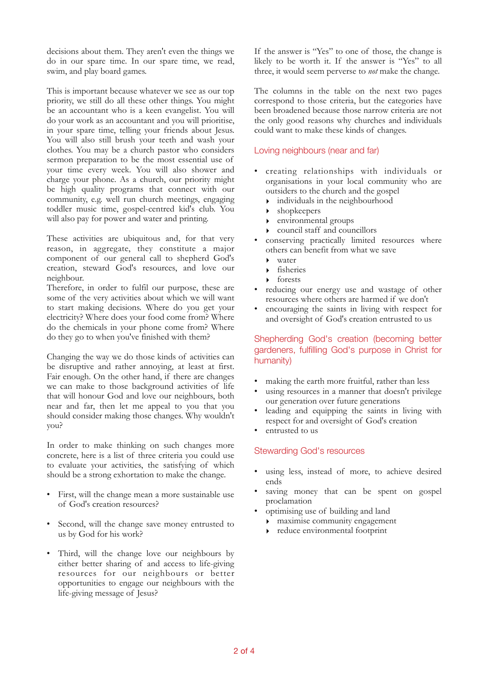decisions about them. They aren't even the things we do in our spare time. In our spare time, we read, swim, and play board games.

This is important because whatever we see as our top priority, we still do all these other things. You might be an accountant who is a keen evangelist. You will do your work as an accountant and you will prioritise, in your spare time, telling your friends about Jesus. You will also still brush your teeth and wash your clothes. You may be a church pastor who considers sermon preparation to be the most essential use of your time every week. You will also shower and charge your phone. As a church, our priority might be high quality programs that connect with our community, e.g. well run church meetings, engaging toddler music time, gospel-centred kid's club. You will also pay for power and water and printing.

These activities are ubiquitous and, for that very reason, in aggregate, they constitute a major component of our general call to shepherd God's creation, steward God's resources, and love our neighbour.

Therefore, in order to fulfil our purpose, these are some of the very activities about which we will want to start making decisions. Where do you get your electricity? Where does your food come from? Where do the chemicals in your phone come from? Where do they go to when you've finished with them?

Changing the way we do those kinds of activities can be disruptive and rather annoying, at least at first. Fair enough. On the other hand, if there are changes we can make to those background activities of life that will honour God and love our neighbours, both near and far, then let me appeal to you that you should consider making those changes. Why wouldn't you?

In order to make thinking on such changes more concrete, here is a list of three criteria you could use to evaluate your activities, the satisfying of which should be a strong exhortation to make the change.

- First, will the change mean a more sustainable use of God's creation resources?
- Second, will the change save money entrusted to us by God for his work?
- Third, will the change love our neighbours by either better sharing of and access to life-giving resources for our neighbours or better opportunities to engage our neighbours with the life-giving message of Jesus?

If the answer is "Yes" to one of those, the change is likely to be worth it. If the answer is "Yes" to all three, it would seem perverse to *not* make the change.

The columns in the table on the next two pages correspond to those criteria, but the categories have been broadened because those narrow criteria are not the only good reasons why churches and individuals could want to make these kinds of changes.

### Loving neighbours (near and far)

- creating relationships with individuals or organisations in your local community who are outsiders to the church and the gospel
	- ‣ individuals in the neighbourhood
	- shopkeepers
	- ‣ environmental groups
	- ‣ council staff and councillors
- conserving practically limited resources where others can benefit from what we save
	- ‣ water
	- ‣ fisheries
	- forests
- reducing our energy use and wastage of other resources where others are harmed if we don't
- encouraging the saints in living with respect for and oversight of God's creation entrusted to us

# Shepherding God's creation (becoming better gardeners, fulfilling God's purpose in Christ for humanity)

- making the earth more fruitful, rather than less
- using resources in a manner that doesn't privilege our generation over future generations
- leading and equipping the saints in living with respect for and oversight of God's creation
- entrusted to us

# Stewarding God's resources

- using less, instead of more, to achieve desired ends
- saving money that can be spent on gospel proclamation
- optimising use of building and land
	- ‣ maximise community engagement
	- ‣ reduce environmental footprint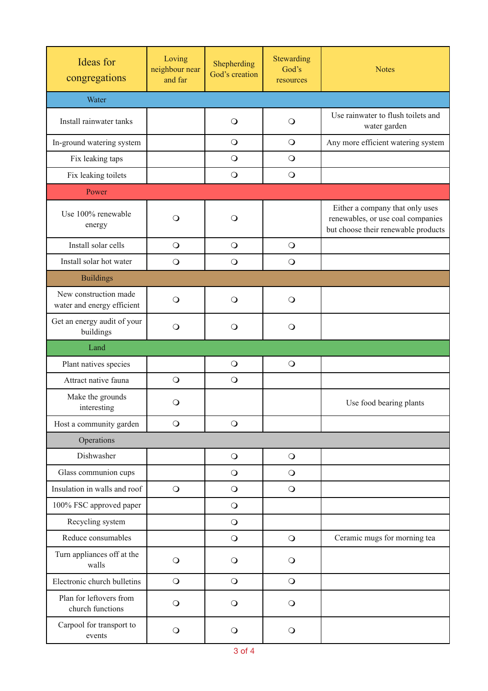| <b>Ideas</b> for<br>congregations                   | Loving<br>neighbour near<br>and far | Shepherding<br>God's creation | Stewarding<br>God's<br>resources | <b>Notes</b>                                                                                                |  |  |
|-----------------------------------------------------|-------------------------------------|-------------------------------|----------------------------------|-------------------------------------------------------------------------------------------------------------|--|--|
| Water                                               |                                     |                               |                                  |                                                                                                             |  |  |
| Install rainwater tanks                             |                                     | $\circ$                       | $\circ$                          | Use rainwater to flush toilets and<br>water garden                                                          |  |  |
| In-ground watering system                           |                                     | $\bigcirc$                    | $\bigcirc$                       | Any more efficient watering system                                                                          |  |  |
| Fix leaking taps                                    |                                     | $\bigcirc$                    | $\bigcirc$                       |                                                                                                             |  |  |
| Fix leaking toilets                                 |                                     | $\bigcirc$                    | $\circ$                          |                                                                                                             |  |  |
| Power                                               |                                     |                               |                                  |                                                                                                             |  |  |
| Use 100% renewable<br>energy                        | $\circ$                             | $\circ$                       |                                  | Either a company that only uses<br>renewables, or use coal companies<br>but choose their renewable products |  |  |
| Install solar cells                                 | $\bigcirc$                          | $\bigcirc$                    | $\bigcirc$                       |                                                                                                             |  |  |
| Install solar hot water                             | $\bigcirc$                          | $\bigcirc$                    | $\circ$                          |                                                                                                             |  |  |
| <b>Buildings</b>                                    |                                     |                               |                                  |                                                                                                             |  |  |
| New construction made<br>water and energy efficient | $\bigcirc$                          | $\bigcirc$                    | $\bigcirc$                       |                                                                                                             |  |  |
| Get an energy audit of your<br>buildings            | $\Omega$                            | $\circ$                       | $\circ$                          |                                                                                                             |  |  |
| Land                                                |                                     |                               |                                  |                                                                                                             |  |  |
| Plant natives species                               |                                     | $\bigcirc$                    | $\bigcirc$                       |                                                                                                             |  |  |
| Attract native fauna                                | $\bigcirc$                          | $\bigcirc$                    |                                  |                                                                                                             |  |  |
| Make the grounds<br>interesting                     | O                                   |                               |                                  | Use food bearing plants                                                                                     |  |  |
| Host a community garden                             | $\bigcirc$                          | $\bigcirc$                    |                                  |                                                                                                             |  |  |
| Operations                                          |                                     |                               |                                  |                                                                                                             |  |  |
| Dishwasher                                          |                                     | $\bigcirc$                    | $\bigcirc$                       |                                                                                                             |  |  |
| Glass communion cups                                |                                     | $\bigcirc$                    | $\bigcirc$                       |                                                                                                             |  |  |
| Insulation in walls and roof                        | $\bigcirc$                          | $\bigcirc$                    | $\bigcirc$                       |                                                                                                             |  |  |
| 100% FSC approved paper                             |                                     | $\bigcirc$                    |                                  |                                                                                                             |  |  |
| Recycling system                                    |                                     | $\bigcirc$                    |                                  |                                                                                                             |  |  |
| Reduce consumables                                  |                                     | $\bigcirc$                    | $\bigcirc$                       | Ceramic mugs for morning tea                                                                                |  |  |
| Turn appliances off at the<br>walls                 | $\bigcirc$                          | $\circ$                       | $\bigcirc$                       |                                                                                                             |  |  |
| Electronic church bulletins                         | $\bigcirc$                          | $\bigcirc$                    | $\bigcirc$                       |                                                                                                             |  |  |
| Plan for leftovers from<br>church functions         | $\bigcirc$                          | $\circ$                       | $\bigcirc$                       |                                                                                                             |  |  |
| Carpool for transport to<br>events                  | $\bigcirc$                          | $\bigcirc$                    | $\bigcirc$                       |                                                                                                             |  |  |